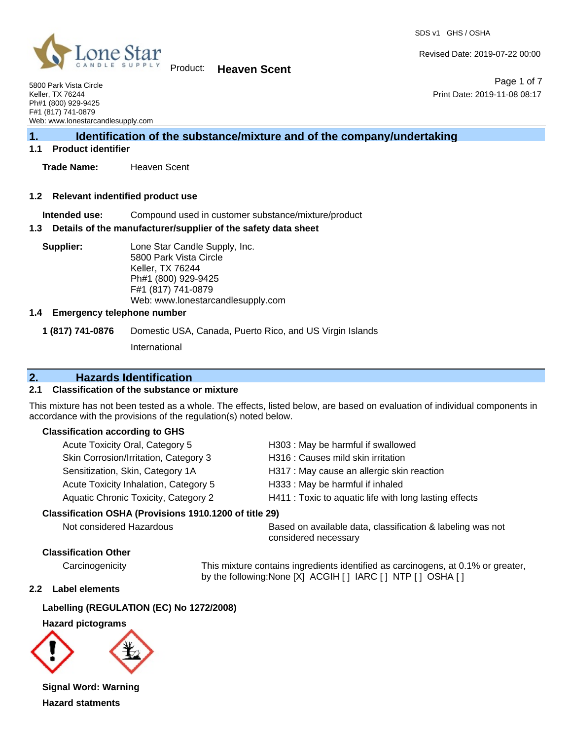Page 1 of 7

Print Date: 2019-11-08 08:17

Revised Date: 2019-07-22 00:00



Product: **Heaven Scent**

5800 Park Vista Circle Keller, TX 76244 Ph#1 (800) 929-9425 F#1 (817) 741-0879 Web: www.lonestarcandlesupply.com

# **1. Identification of the substance/mixture and of the company/undertaking**

#### **1.1 Product identifier**

**Trade Name:** Heaven Scent

#### **1.2 Relevant indentified product use**

**Intended use:** Compound used in customer substance/mixture/product

#### **1.3 Details of the manufacturer/supplier of the safety data sheet**

**Supplier:** Lone Star Candle Supply, Inc. 5800 Park Vista Circle Keller, TX 76244 Ph#1 (800) 929-9425 F#1 (817) 741-0879 Web: www.lonestarcandlesupply.com

#### **1.4 Emergency telephone number**

**1 (817) 741-0876** Domestic USA, Canada, Puerto Rico, and US Virgin Islands

International

# **2. Hazards Identification**

#### **2.1 Classification of the substance or mixture**

This mixture has not been tested as a whole. The effects, listed below, are based on evaluation of individual components in accordance with the provisions of the regulation(s) noted below.

#### **Classification according to GHS**

| Acute Toxicity Oral, Category 5       | H303: May be harmful if swallowed                      |
|---------------------------------------|--------------------------------------------------------|
| Skin Corrosion/Irritation, Category 3 | H316 : Causes mild skin irritation                     |
| Sensitization, Skin, Category 1A      | H317 : May cause an allergic skin reaction             |
| Acute Toxicity Inhalation, Category 5 | H333: May be harmful if inhaled                        |
| Aquatic Chronic Toxicity, Category 2  | H411 : Toxic to aquatic life with long lasting effects |
|                                       |                                                        |

# **Classification OSHA (Provisions 1910.1200 of title 29)**

Not considered Hazardous Based on available data, classification & labeling was not considered necessary

#### **Classification Other**

Carcinogenicity This mixture contains ingredients identified as carcinogens, at 0.1% or greater, by the following:None [X] ACGIH [ ] IARC [ ] NTP [ ] OSHA [ ]

#### **2.2 Label elements**

**Labelling (REGULATION (EC) No 1272/2008)**

#### **Hazard pictograms**



**Hazard statments**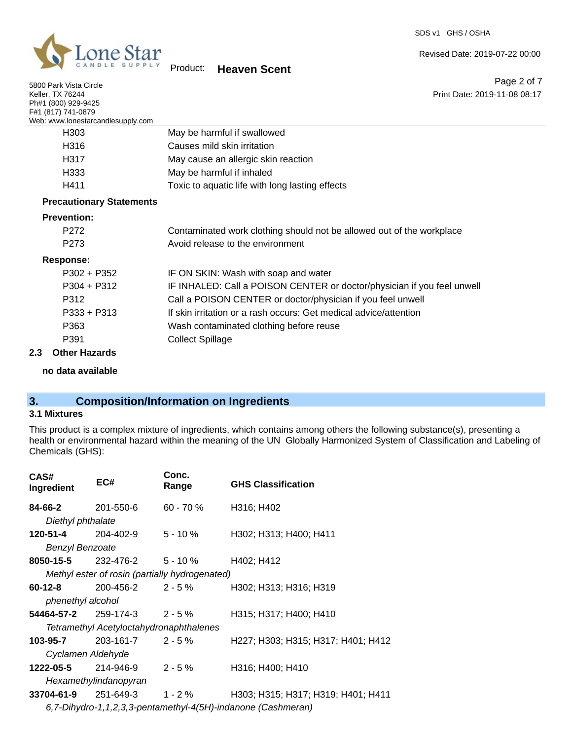

5800 Park Vista Circle Keller, TX 76244

Product: **Heaven Scent**

Revised Date: 2019-07-22 00:00

Page 2 of 7 Print Date: 2019-11-08 08:17

| Ph#1 (800) 929-9425                                     |                                                                         |
|---------------------------------------------------------|-------------------------------------------------------------------------|
| F#1 (817) 741-0879<br>Web: www.lonestarcandlesupply.com |                                                                         |
| H <sub>303</sub>                                        | May be harmful if swallowed                                             |
| H316                                                    | Causes mild skin irritation                                             |
| H317                                                    | May cause an allergic skin reaction                                     |
| H333                                                    | May be harmful if inhaled                                               |
| H411                                                    | Toxic to aquatic life with long lasting effects                         |
| <b>Precautionary Statements</b>                         |                                                                         |
| <b>Prevention:</b>                                      |                                                                         |
| P272                                                    | Contaminated work clothing should not be allowed out of the workplace   |
| P <sub>273</sub>                                        | Avoid release to the environment                                        |
| <b>Response:</b>                                        |                                                                         |
| $P302 + P352$                                           | IF ON SKIN: Wash with soap and water                                    |
| $P304 + P312$                                           | IF INHALED: Call a POISON CENTER or doctor/physician if you feel unwell |
| P312                                                    | Call a POISON CENTER or doctor/physician if you feel unwell             |
| $P333 + P313$                                           | If skin irritation or a rash occurs: Get medical advice/attention       |
| P363                                                    | Wash contaminated clothing before reuse                                 |
| P391                                                    | <b>Collect Spillage</b>                                                 |
| <b>Other Hazards</b><br>2.3                             |                                                                         |

**no data available**

# **3. Composition/Information on Ingredients**

## **3.1 Mixtures**

This product is a complex mixture of ingredients, which contains among others the following substance(s), presenting a health or environmental hazard within the meaning of the UN Globally Harmonized System of Classification and Labeling of Chemicals (GHS):

| EC#                                                          | Conc.<br>Range | <b>GHS Classification</b>                                                                                                                                                                                                                                |  |
|--------------------------------------------------------------|----------------|----------------------------------------------------------------------------------------------------------------------------------------------------------------------------------------------------------------------------------------------------------|--|
| <b>84-66-2</b> 201-550-6                                     | 60 - 70 %      | H316; H402                                                                                                                                                                                                                                               |  |
| Diethyl phthalate                                            |                |                                                                                                                                                                                                                                                          |  |
| <b>120-51-4</b> 204-402-9                                    | $5 - 10 \%$    | H302; H313; H400; H411                                                                                                                                                                                                                                   |  |
| <b>Benzyl Benzoate</b>                                       |                |                                                                                                                                                                                                                                                          |  |
|                                                              |                | H402; H412                                                                                                                                                                                                                                               |  |
|                                                              |                |                                                                                                                                                                                                                                                          |  |
|                                                              |                | H302; H313; H316; H319                                                                                                                                                                                                                                   |  |
| phenethyl alcohol                                            |                |                                                                                                                                                                                                                                                          |  |
|                                                              |                | H315; H317; H400; H410                                                                                                                                                                                                                                   |  |
| Tetramethyl Acetyloctahydronaphthalenes                      |                |                                                                                                                                                                                                                                                          |  |
|                                                              |                | H227; H303; H315; H317; H401; H412                                                                                                                                                                                                                       |  |
| Cyclamen Aldehyde                                            |                |                                                                                                                                                                                                                                                          |  |
|                                                              |                | H316; H400; H410                                                                                                                                                                                                                                         |  |
| Hexamethylindanopyran                                        |                |                                                                                                                                                                                                                                                          |  |
|                                                              |                | H303; H315; H317; H319; H401; H411                                                                                                                                                                                                                       |  |
| 6,7-Dihydro-1,1,2,3,3-pentamethyl-4(5H)-indanone (Cashmeran) |                |                                                                                                                                                                                                                                                          |  |
|                                                              |                | <b>8050-15-5</b> 232-476-2 5 - 10 %<br>Methyl ester of rosin (partially hydrogenated)<br>$200 - 456 - 2$ 2 - 5 %<br><b>54464-57-2</b> 259-174-3 2 - 5 %<br>203-161-7 2 - 5 %<br><b>1222-05-5</b> 214-946-9 2 - 5 %<br>$33704 - 61 - 9$ 251-649-3 1 - 2 % |  |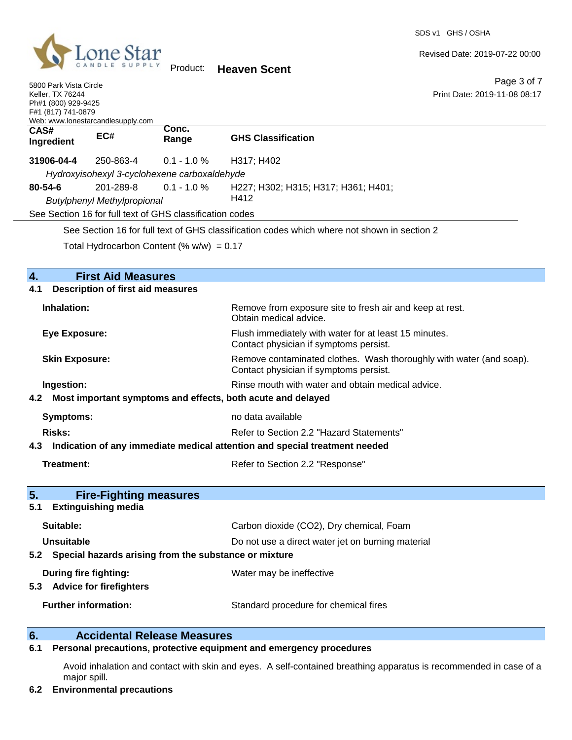

Revised Date: 2019-07-22 00:00

Page 3 of 7

| 5800 Park Vista Circle<br>Keller, TX 76244<br>Ph#1 (800) 929-9425<br>F#1 (817) 741-0879                                                                                                 | Web: www.lonestarcandlesupply.com                        |                                                           | Page 3 of 7<br>Print Date: 2019-11-08 08:17                                                                   |
|-----------------------------------------------------------------------------------------------------------------------------------------------------------------------------------------|----------------------------------------------------------|-----------------------------------------------------------|---------------------------------------------------------------------------------------------------------------|
| CAS#<br>Ingredient                                                                                                                                                                      | EC#                                                      | Conc.<br>Range                                            | <b>GHS Classification</b>                                                                                     |
| 31906-04-4                                                                                                                                                                              | 250-863-4                                                | $0.1 - 1.0 %$                                             | H317; H402                                                                                                    |
| Hydroxyisohexyl 3-cyclohexene carboxaldehyde<br>201-289-8<br>$0.1 - 1.0 %$<br>80-54-6<br><b>Butylphenyl Methylpropional</b><br>See Section 16 for full text of GHS classification codes |                                                          |                                                           | H227; H302; H315; H317; H361; H401;<br>H412                                                                   |
|                                                                                                                                                                                         |                                                          | Total Hydrocarbon Content (% $w/w$ ) = 0.17               | See Section 16 for full text of GHS classification codes which where not shown in section 2                   |
| 4.                                                                                                                                                                                      | <b>First Aid Measures</b>                                |                                                           |                                                                                                               |
| 4.1                                                                                                                                                                                     | <b>Description of first aid measures</b>                 |                                                           |                                                                                                               |
| Inhalation:                                                                                                                                                                             |                                                          |                                                           | Remove from exposure site to fresh air and keep at rest.<br>Obtain medical advice.                            |
| Eye Exposure:<br><b>Skin Exposure:</b>                                                                                                                                                  |                                                          |                                                           | Flush immediately with water for at least 15 minutes.<br>Contact physician if symptoms persist.               |
|                                                                                                                                                                                         |                                                          |                                                           | Remove contaminated clothes. Wash thoroughly with water (and soap).<br>Contact physician if symptoms persist. |
| Ingestion:<br>4.2<br>Most important symptoms and effects, both acute and delayed                                                                                                        |                                                          |                                                           | Rinse mouth with water and obtain medical advice.                                                             |
| Symptoms:                                                                                                                                                                               |                                                          |                                                           | no data available                                                                                             |
| <b>Risks:</b>                                                                                                                                                                           |                                                          |                                                           | Refer to Section 2.2 "Hazard Statements"                                                                      |
| 4.3                                                                                                                                                                                     |                                                          |                                                           | Indication of any immediate medical attention and special treatment needed                                    |
| <b>Treatment:</b>                                                                                                                                                                       |                                                          |                                                           | Refer to Section 2.2 "Response"                                                                               |
| 5.                                                                                                                                                                                      | <b>Fire-Fighting measures</b><br>5.1 Extinguishing media |                                                           |                                                                                                               |
| Suitable:                                                                                                                                                                               |                                                          |                                                           | Carbon dioxide (CO2), Dry chemical, Foam                                                                      |
| <b>Unsuitable</b>                                                                                                                                                                       |                                                          | 5.2 Special hazards arising from the substance or mixture | Do not use a direct water jet on burning material                                                             |
| During fire fighting:<br>5.3 Advice for firefighters                                                                                                                                    |                                                          |                                                           | Water may be ineffective                                                                                      |
|                                                                                                                                                                                         | <b>Further information:</b>                              |                                                           | Standard procedure for chemical fires                                                                         |

# **6. Calcidental Release Measures**<br>**6.1 Personal precautions, protective equipm**

#### **6.1 Personal precautions, protective equipment and emergency procedures**

Avoid inhalation and contact with skin and eyes. A self-contained breathing apparatus is recommended in case of a major spill.

#### **6.2 Environmental precautions**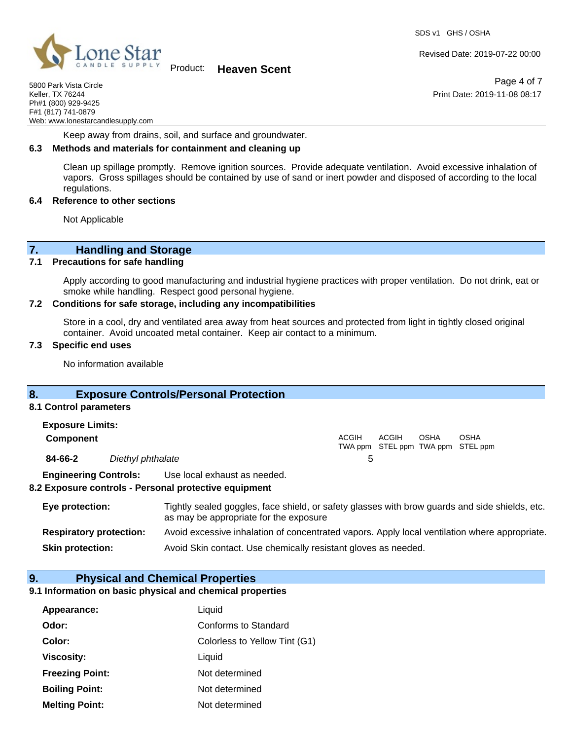

Product: **Heaven Scent**

5800 Park Vista Circle Keller, TX 76244 Ph#1 (800) 929-9425 F#1 (817) 741-0879 Web: www.lonestarcandlesupply.com

Keep away from drains, soil, and surface and groundwater.

#### **6.3 Methods and materials for containment and cleaning up**

Clean up spillage promptly. Remove ignition sources. Provide adequate ventilation. Avoid excessive inhalation of vapors. Gross spillages should be contained by use of sand or inert powder and disposed of according to the local regulations.

#### **6.4 Reference to other sections**

Not Applicable

**7. Handling and Storage** 

#### **7.1 Precautions for safe handling**

Apply according to good manufacturing and industrial hygiene practices with proper ventilation. Do not drink, eat or smoke while handling. Respect good personal hygiene.

#### **7.2 Conditions for safe storage, including any incompatibilities**

Store in a cool, dry and ventilated area away from heat sources and protected from light in tightly closed original container. Avoid uncoated metal container. Keep air contact to a minimum.

#### **7.3 Specific end uses**

No information available

#### **8. Exposure Controls/Personal Protection**

#### **8.1 Control parameters Exposure Limits:**

| EXPOSURE LIIIIIIS. |                   |       |       |      |                                                  |  |
|--------------------|-------------------|-------|-------|------|--------------------------------------------------|--|
| <b>Component</b>   |                   | ACGIH | ACGIH | OSHA | <b>OSHA</b><br>TWA ppm STEL ppm TWA ppm STEL ppm |  |
| 84-66-2            | Diethyl phthalate |       |       |      |                                                  |  |

**Engineering Controls:** Use local exhaust as needed.

#### **8.2 Exposure controls - Personal protective equipment**

| Eye protection:                | Tightly sealed goggles, face shield, or safety glasses with brow guards and side shields, etc.<br>as may be appropriate for the exposure |  |
|--------------------------------|------------------------------------------------------------------------------------------------------------------------------------------|--|
| <b>Respiratory protection:</b> | Avoid excessive inhalation of concentrated vapors. Apply local ventilation where appropriate.                                            |  |
| <b>Skin protection:</b>        | Avoid Skin contact. Use chemically resistant gloves as needed.                                                                           |  |

#### **9. Physical and Chemical Properties**

# **9.1 Information on basic physical and chemical properties**

| Appearance:            | Liquid                        |
|------------------------|-------------------------------|
| Odor:                  | Conforms to Standard          |
| Color:                 | Colorless to Yellow Tint (G1) |
| <b>Viscosity:</b>      | Liquid                        |
| <b>Freezing Point:</b> | Not determined                |
| <b>Boiling Point:</b>  | Not determined                |
| <b>Melting Point:</b>  | Not determined                |

Revised Date: 2019-07-22 00:00

Page 4 of 7 Print Date: 2019-11-08 08:17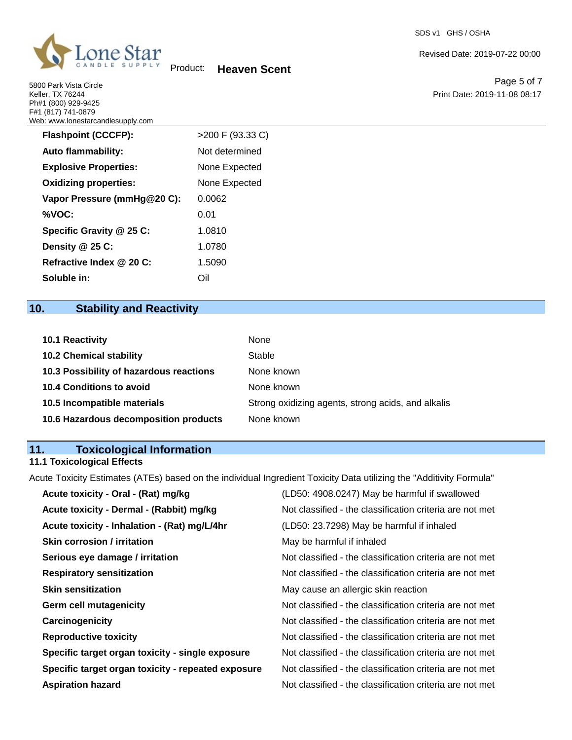

5800 Park Vista Circle Keller, TX 76244 Ph#1 (800) 929-9425

Product: **Heaven Scent**

Revised Date: 2019-07-22 00:00

Page 5 of 7 Print Date: 2019-11-08 08:17

| F#1 (817) 741-0879<br>Web: www.lonestarcandlesupply.com |                  |
|---------------------------------------------------------|------------------|
| <b>Flashpoint (CCCFP):</b>                              | >200 F (93.33 C) |
| <b>Auto flammability:</b>                               | Not determined   |
| <b>Explosive Properties:</b>                            | None Expected    |
| <b>Oxidizing properties:</b>                            | None Expected    |
| Vapor Pressure (mmHg@20 C):                             | 0.0062           |
| %VOC:                                                   | 0.01             |
| Specific Gravity @ 25 C:                                | 1.0810           |
| Density @ 25 C:                                         | 1.0780           |
| Refractive Index @ 20 C:                                | 1.5090           |
| Soluble in:                                             | Oil              |

# **10. Stability and Reactivity**

| 10.1 Reactivity                         | None                                               |
|-----------------------------------------|----------------------------------------------------|
| <b>10.2 Chemical stability</b>          | Stable                                             |
| 10.3 Possibility of hazardous reactions | None known                                         |
| <b>10.4 Conditions to avoid</b>         | None known                                         |
| 10.5 Incompatible materials             | Strong oxidizing agents, strong acids, and alkalis |
| 10.6 Hazardous decomposition products   | None known                                         |

# **11. Toxicological Information**

## **11.1 Toxicological Effects**

Acute Toxicity Estimates (ATEs) based on the individual Ingredient Toxicity Data utilizing the "Additivity Formula"

| (LD50: 4908.0247) May be harmful if swallowed            |
|----------------------------------------------------------|
| Not classified - the classification criteria are not met |
| (LD50: 23.7298) May be harmful if inhaled                |
| May be harmful if inhaled                                |
| Not classified - the classification criteria are not met |
| Not classified - the classification criteria are not met |
| May cause an allergic skin reaction                      |
| Not classified - the classification criteria are not met |
| Not classified - the classification criteria are not met |
| Not classified - the classification criteria are not met |
| Not classified - the classification criteria are not met |
| Not classified - the classification criteria are not met |
| Not classified - the classification criteria are not met |
|                                                          |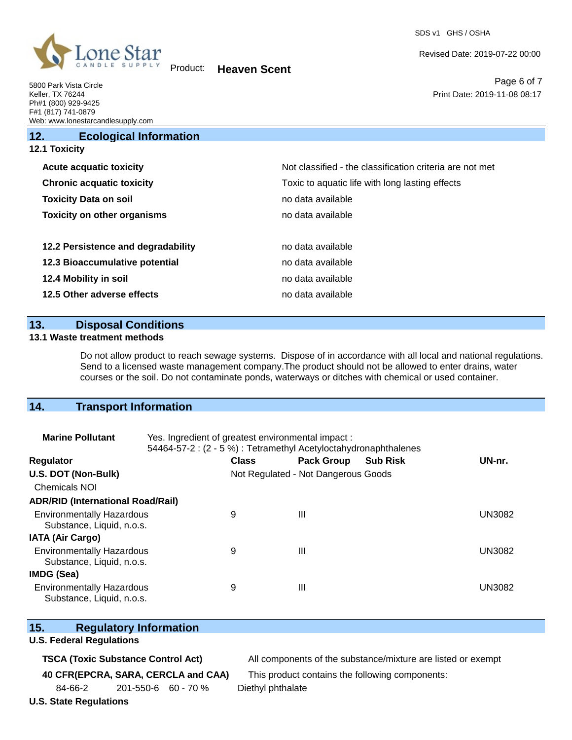

Revised Date: 2019-07-22 00:00

Page 6 of 7 Print Date: 2019-11-08 08:17

| 5800 Park Vista Circle            |
|-----------------------------------|
| <b>Keller, TX 76244</b>           |
| Ph#1 (800) 929-9425               |
| F#1 (817) 741-0879                |
| Web: www.lonestarcandlesupply.com |

| 12.                  | <b>Ecological Information</b>      |                                                          |
|----------------------|------------------------------------|----------------------------------------------------------|
| <b>12.1 Toxicity</b> |                                    |                                                          |
|                      | <b>Acute acquatic toxicity</b>     | Not classified - the classification criteria are not met |
|                      | <b>Chronic acquatic toxicity</b>   | Toxic to aquatic life with long lasting effects          |
|                      | <b>Toxicity Data on soil</b>       | no data available                                        |
|                      | <b>Toxicity on other organisms</b> | no data available.                                       |
|                      | 12.2 Persistence and degradability | no data available                                        |
|                      | 12.3 Bioaccumulative potential     | no data available                                        |
|                      | 12.4 Mobility in soil              | no data available.                                       |
|                      | 12.5 Other adverse effects         | no data available.                                       |
|                      |                                    |                                                          |

# **13. Disposal Conditions**

#### **13.1 Waste treatment methods**

Do not allow product to reach sewage systems. Dispose of in accordance with all local and national regulations. Send to a licensed waste management company.The product should not be allowed to enter drains, water courses or the soil. Do not contaminate ponds, waterways or ditches with chemical or used container.

# **14. Transport Information**

| <b>Marine Pollutant</b>                                       | Yes. Ingredient of greatest environmental impact:<br>54464-57-2 : (2 - 5 %) : Tetramethyl Acetyloctahydronaphthalenes |              |                                     |                 |               |  |
|---------------------------------------------------------------|-----------------------------------------------------------------------------------------------------------------------|--------------|-------------------------------------|-----------------|---------------|--|
| <b>Regulator</b>                                              |                                                                                                                       | <b>Class</b> | <b>Pack Group</b>                   | <b>Sub Risk</b> | UN-nr.        |  |
| U.S. DOT (Non-Bulk)                                           |                                                                                                                       |              | Not Regulated - Not Dangerous Goods |                 |               |  |
| Chemicals NOI                                                 |                                                                                                                       |              |                                     |                 |               |  |
| <b>ADR/RID (International Road/Rail)</b>                      |                                                                                                                       |              |                                     |                 |               |  |
| <b>Environmentally Hazardous</b><br>Substance, Liquid, n.o.s. |                                                                                                                       | 9            | $\mathbf{III}$                      |                 | <b>UN3082</b> |  |
| <b>IATA (Air Cargo)</b>                                       |                                                                                                                       |              |                                     |                 |               |  |
| <b>Environmentally Hazardous</b><br>Substance, Liquid, n.o.s. |                                                                                                                       | 9            | $\mathbf{III}$                      |                 | <b>UN3082</b> |  |
| IMDG (Sea)                                                    |                                                                                                                       |              |                                     |                 |               |  |
| <b>Environmentally Hazardous</b><br>Substance, Liquid, n.o.s. |                                                                                                                       | 9            | $\mathbf{III}$                      |                 | <b>UN3082</b> |  |

# **15. Regulatory Information**

#### **U.S. Federal Regulations**

**TSCA (Toxic Substance Control Act)** All components of the substance/mixture are listed or exempt

84-66-2 201-550-6 60 - 70 % Diethyl phthalate

**40 CFR(EPCRA, SARA, CERCLA and CAA)** This product contains the following components:

## **U.S. State Regulations**